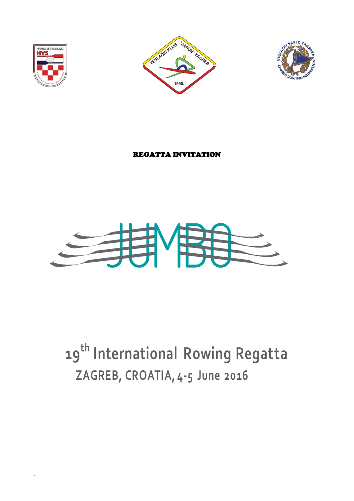





# REGATTA INVITATION



# **19th International Rowing Regatta ZAGREB, CROATIA, 4-5 June 2016**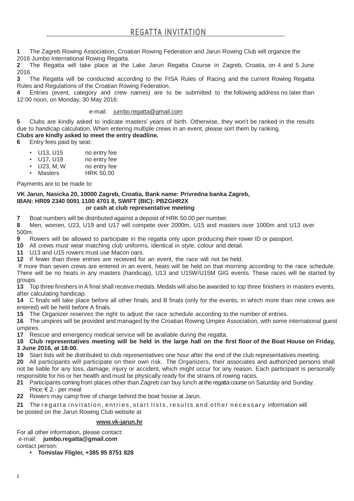**1** The Zagreb Rowing Association, Croatian Rowing Federation and Jarun Rowing Club will organize the 2016 Jumbo International Rowing Regatta.

**2** The Regatta will take place at the Lake Jarun Regatta Course in Zagreb, Croatia, on 4 and 5 June 2016.

**3** The Regatta will be conducted according to the FISA Rules of Racing and the current Rowing Regatta Rules and Regulations of the Croatian Rowing Federation.

**4** Entries (event, category and crew names) are to be submitted to the following address no later than 12:00 noon, on Monday, 30 May 2016:

### e-mail: [jumbo.regatta@gmail.com](mailto:jumbo.regatta@gmail.com)

**5** Clubs are kindly asked to indicate masters' years of birth. Otherwise, they won't be ranked in the results due to handicap calculation. When entering multiple crews in an event, please sort them by ranking. **Clubs are kindly asked to meet the entry deadline.**

**6** Entry fees paid by seat:

- U13, U15 no entry fee
- U17, U19 no entry fee
- U23, M, W no entry fee
- Masters HRK 50.00

Payments are to be made to:

#### **VK Jarun, Nasicka 20, 10000 Zagreb, Croatia, Bank name: Privredna banka Zagreb, IBAN: HR09 2340 0091 1100 4701 8, SWIFT (BIC): PBZGHR2X or cash at club representative meeting**

## **7** Boat numbers will be distributed against a deposit of HRK 50.00 per number.

**8** Men, women, U23, U19 and U17 will compete over 2000m, U15 and masters over 1000m and U13 over 500m.

**9** Rowers will be allowed to participate in the regatta only upon producing their rower ID or passport.

**10** All crews must wear matching club uniforms, identical in style, colour and detail.

**11** U13 and U15 rowers must use Macon oars.

**12** If fewer than three entries are received for an event, the race will not be held.

If more than seven crews are entered in an event, heats will be held on that morning according to the race schedule. There will be no heats in any masters (handicap), U13 and U15W/U15M GIG events. These races will be started by groups.

**13** Top three finishers in A final shall receive medals. Medals will also be awarded to top three finishers in masters events, after calculating handicap.

**14** C finals will take place before all other finals, and B finals (only for the events, in which more than nine crews are entered) will be held before A finals.

**15** The Organizer reserves the right to adjust the race schedule according to the number of entries.

**16** The umpires will be provided and managed by the Croatian Rowing Umpire Association, with some international guest umpires.

**17** Rescue and emergency medical service will be available during the regatta.

### 18 Club representatives meeting will be held in the large hall on the first floor of the Boat House on Friday, **3 June 2016, at 18:00.**

**19** Start lists will be distributed to club representatives one hour after the end of the club representatives meeting.

**20** All participants will participate on their own risk. The Organizers, their associates and authorized persons shall not be liable for any loss, damage, injury or accident, which might occur for any reason. Each participant is personally responsible for his or her health and must be physically ready for the strains of rowing races.

**21** Participants coming from places other than Zagreb can buy lunch at the regatta course on Saturday and Sunday. Price: € 2.- per meal

**22** Rowers may camp free of charge behind the boat house at Jarun.

21 The regatta invitation, entries, start lists, results and other necessary information will be posted on the Jarun Rowing Club website at

#### **[www.vk-jarun.hr](http://www.vk-jarun.hr/)**

For all other information, please contact: e-mail: **[jumbo.regatta@gmail.com](mailto:jumbo.regatta@gmail.com)**  contact person:

**• Tomislav Fligler, +385 95 8751 828**